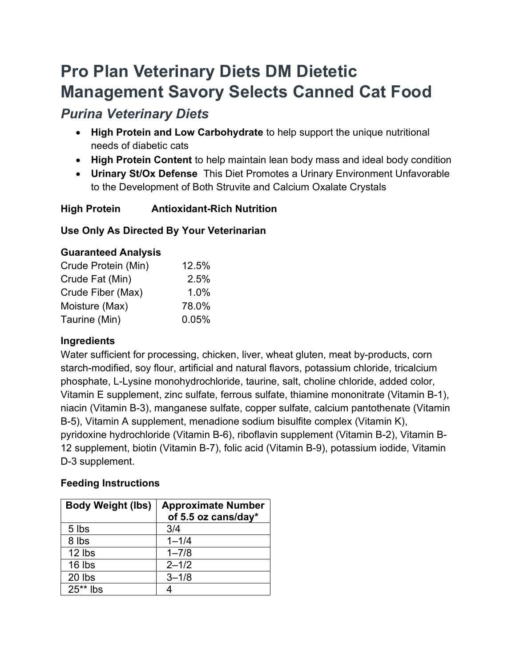# Pro Plan Veterinary Diets DM Dietetic Management Savory Selects Canned Cat Food

## Purina Veterinary Diets

- High Protein and Low Carbohydrate to help support the unique nutritional needs of diabetic cats
- High Protein Content to help maintain lean body mass and ideal body condition
- Urinary St/Ox Defense This Diet Promotes a Urinary Environment Unfavorable to the Development of Both Struvite and Calcium Oxalate Crystals

### High Protein Antioxidant-Rich Nutrition

#### Use Only As Directed By Your Veterinarian

#### Guaranteed Analysis

| Crude Protein (Min) | 12.5% |
|---------------------|-------|
| Crude Fat (Min)     | 2.5%  |
| Crude Fiber (Max)   | 1.0%  |
| Moisture (Max)      | 78.0% |
| Taurine (Min)       | 0.05% |

#### Ingredients

Water sufficient for processing, chicken, liver, wheat gluten, meat by-products, corn starch-modified, soy flour, artificial and natural flavors, potassium chloride, tricalcium phosphate, L-Lysine monohydrochloride, taurine, salt, choline chloride, added color, Vitamin E supplement, zinc sulfate, ferrous sulfate, thiamine mononitrate (Vitamin B-1), niacin (Vitamin B-3), manganese sulfate, copper sulfate, calcium pantothenate (Vitamin B-5), Vitamin A supplement, menadione sodium bisulfite complex (Vitamin K), pyridoxine hydrochloride (Vitamin B-6), riboflavin supplement (Vitamin B-2), Vitamin B-12 supplement, biotin (Vitamin B-7), folic acid (Vitamin B-9), potassium iodide, Vitamin D-3 supplement.

#### Feeding Instructions

| <b>Body Weight (lbs)</b> | <b>Approximate Number</b><br>of 5.5 oz cans/day* |
|--------------------------|--------------------------------------------------|
| 5 lbs                    | 3/4                                              |
| 8 lbs                    | $1 - 1/4$                                        |
| 12 lbs                   | $1 - 7/8$                                        |
| 16 lbs                   | $2 - 1/2$                                        |
| 20 lbs                   | $3 - 1/8$                                        |
| $25**$ lbs               |                                                  |